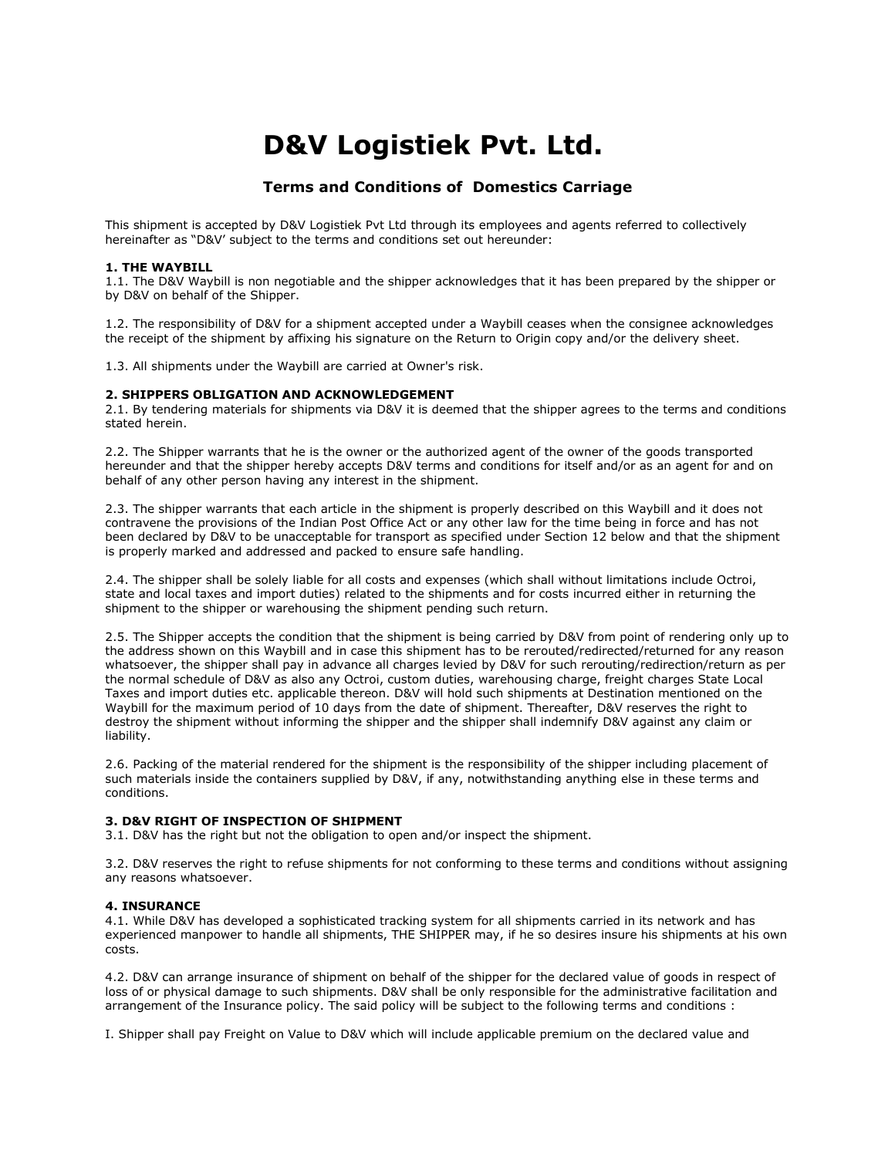# **D&V Logistiek Pvt. Ltd.**

# **Terms and Conditions of Domestics Carriage**

This shipment is accepted by D&V Logistiek Pvt Ltd through its employees and agents referred to collectively hereinafter as "D&V' subject to the terms and conditions set out hereunder:

#### **1. THE WAYBILL**

1.1. The D&V Waybill is non negotiable and the shipper acknowledges that it has been prepared by the shipper or by D&V on behalf of the Shipper.

1.2. The responsibility of D&V for a shipment accepted under a Waybill ceases when the consignee acknowledges the receipt of the shipment by affixing his signature on the Return to Origin copy and/or the delivery sheet.

1.3. All shipments under the Waybill are carried at Owner's risk.

#### **2. SHIPPERS OBLIGATION AND ACKNOWLEDGEMENT**

2.1. By tendering materials for shipments via D&V it is deemed that the shipper agrees to the terms and conditions stated herein.

2.2. The Shipper warrants that he is the owner or the authorized agent of the owner of the goods transported hereunder and that the shipper hereby accepts D&V terms and conditions for itself and/or as an agent for and on behalf of any other person having any interest in the shipment.

2.3. The shipper warrants that each article in the shipment is properly described on this Waybill and it does not contravene the provisions of the Indian Post Office Act or any other law for the time being in force and has not been declared by D&V to be unacceptable for transport as specified under Section 12 below and that the shipment is properly marked and addressed and packed to ensure safe handling.

2.4. The shipper shall be solely liable for all costs and expenses (which shall without limitations include Octroi, state and local taxes and import duties) related to the shipments and for costs incurred either in returning the shipment to the shipper or warehousing the shipment pending such return.

2.5. The Shipper accepts the condition that the shipment is being carried by D&V from point of rendering only up to the address shown on this Waybill and in case this shipment has to be rerouted/redirected/returned for any reason whatsoever, the shipper shall pay in advance all charges levied by D&V for such rerouting/redirection/return as per the normal schedule of D&V as also any Octroi, custom duties, warehousing charge, freight charges State Local Taxes and import duties etc. applicable thereon. D&V will hold such shipments at Destination mentioned on the Waybill for the maximum period of 10 days from the date of shipment. Thereafter, D&V reserves the right to destroy the shipment without informing the shipper and the shipper shall indemnify D&V against any claim or liability.

2.6. Packing of the material rendered for the shipment is the responsibility of the shipper including placement of such materials inside the containers supplied by D&V, if any, notwithstanding anything else in these terms and conditions.

#### **3. D&V RIGHT OF INSPECTION OF SHIPMENT**

3.1. D&V has the right but not the obligation to open and/or inspect the shipment.

3.2. D&V reserves the right to refuse shipments for not conforming to these terms and conditions without assigning any reasons whatsoever.

#### **4. INSURANCE**

4.1. While D&V has developed a sophisticated tracking system for all shipments carried in its network and has experienced manpower to handle all shipments, THE SHIPPER may, if he so desires insure his shipments at his own costs.

4.2. D&V can arrange insurance of shipment on behalf of the shipper for the declared value of goods in respect of loss of or physical damage to such shipments. D&V shall be only responsible for the administrative facilitation and arrangement of the Insurance policy. The said policy will be subject to the following terms and conditions :

I. Shipper shall pay Freight on Value to D&V which will include applicable premium on the declared value and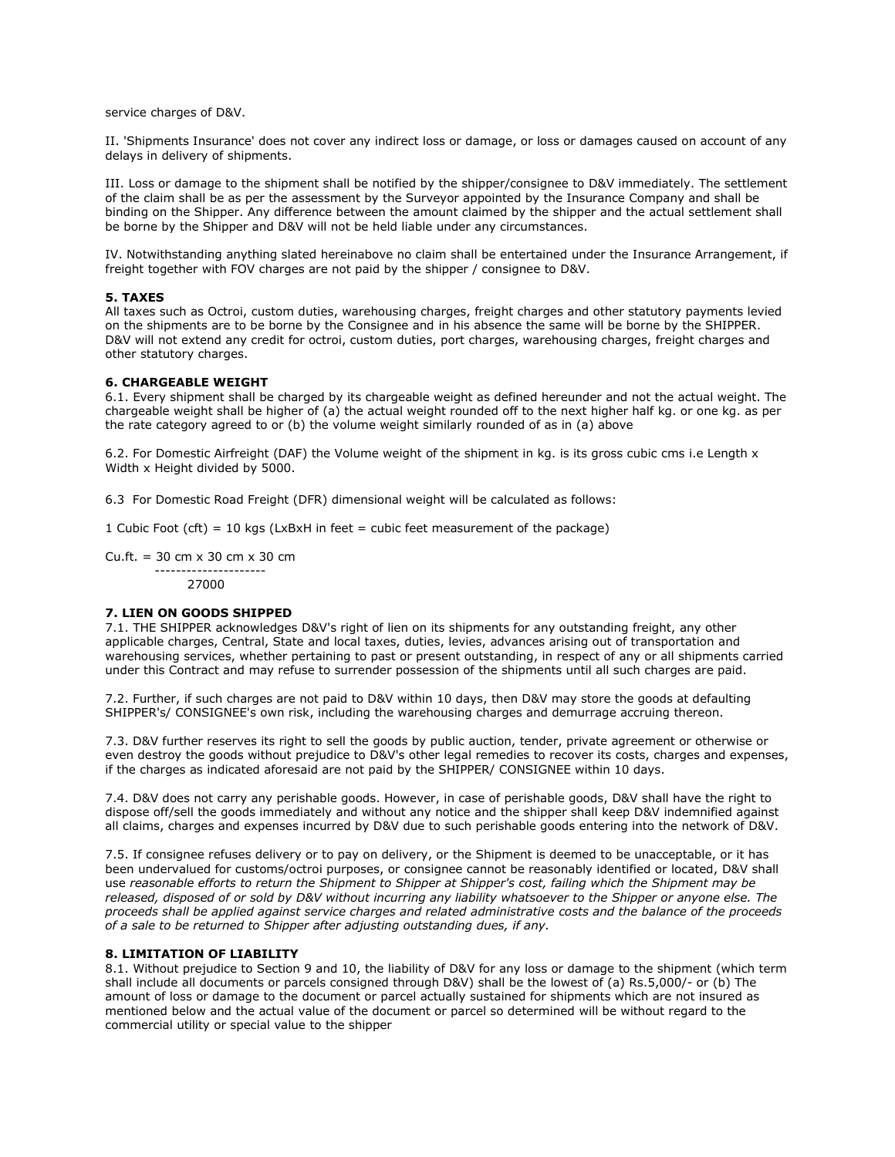service charges of D&V.

II. 'Shipments Insurance' does not cover any indirect loss or damage, or loss or damages caused on account of any delays in delivery of shipments.

III. Loss or damage to the shipment shall be notified by the shipper/consignee to D&V immediately. The settlement of the claim shall be as per the assessment by the Surveyor appointed by the Insurance Company and shall be binding on the Shipper. Any difference between the amount claimed by the shipper and the actual settlement shall be borne by the Shipper and D&V will not be held liable under any circumstances.

IV. Notwithstanding anything slated hereinabove no claim shall be entertained under the Insurance Arrangement, if freight together with FOV charges are not paid by the shipper / consignee to D&V.

# **5. TAXES**

All taxes such as Octroi, custom duties, warehousing charges, freight charges and other statutory payments levied on the shipments are to be borne by the Consignee and in his absence the same will be borne by the SHIPPER. D&V will not extend any credit for octroi, custom duties, port charges, warehousing charges, freight charges and other statutory charges.

#### **6. CHARGEABLE WEIGHT**

6.1. Every shipment shall be charged by its chargeable weight as defined hereunder and not the actual weight. The chargeable weight shall be higher of (a) the actual weight rounded off to the next higher half kg. or one kg. as per the rate category agreed to or (b) the volume weight similarly rounded of as in (a) above

6.2. For Domestic Airfreight (DAF) the Volume weight of the shipment in kg. is its gross cubic cms i.e Length x Width x Height divided by 5000.

6.3 For Domestic Road Freight (DFR) dimensional weight will be calculated as follows:

1 Cubic Foot (cft) = 10 kgs (LxBxH in feet = cubic feet measurement of the package)

Cu.ft. = 30 cm x 30 cm x 30 cm --------------------- 27000

#### **7. LIEN ON GOODS SHIPPED**

7.1. THE SHIPPER acknowledges D&V's right of lien on its shipments for any outstanding freight, any other applicable charges, Central, State and local taxes, duties, levies, advances arising out of transportation and warehousing services, whether pertaining to past or present outstanding, in respect of any or all shipments carried under this Contract and may refuse to surrender possession of the shipments until all such charges are paid.

7.2. Further, if such charges are not paid to D&V within 10 days, then D&V may store the goods at defaulting SHIPPER's/ CONSIGNEE's own risk, including the warehousing charges and demurrage accruing thereon.

7.3. D&V further reserves its right to sell the goods by public auction, tender, private agreement or otherwise or even destroy the goods without prejudice to D&V's other legal remedies to recover its costs, charges and expenses, if the charges as indicated aforesaid are not paid by the SHIPPER/ CONSIGNEE within 10 days.

7.4. D&V does not carry any perishable goods. However, in case of perishable goods, D&V shall have the right to dispose off/sell the goods immediately and without any notice and the shipper shall keep D&V indemnified against all claims, charges and expenses incurred by D&V due to such perishable goods entering into the network of D&V.

7.5. If consignee refuses delivery or to pay on delivery, or the Shipment is deemed to be unacceptable, or it has been undervalued for customs/octroi purposes, or consignee cannot be reasonably identified or located, D&V shall use *reasonable efforts to return the Shipment to Shipper at Shipper's cost, failing which the Shipment may be released, disposed of or sold by D&V without incurring any liability whatsoever to the Shipper or anyone else. The proceeds shall be applied against service charges and related administrative costs and the balance of the proceeds of a sale to be returned to Shipper after adjusting outstanding dues, if any.*

### **8. LIMITATION OF LIABILITY**

8.1. Without prejudice to Section 9 and 10, the liability of D&V for any loss or damage to the shipment (which term shall include all documents or parcels consigned through D&V) shall be the lowest of (a) Rs.5,000/- or (b) The amount of loss or damage to the document or parcel actually sustained for shipments which are not insured as mentioned below and the actual value of the document or parcel so determined will be without regard to the commercial utility or special value to the shipper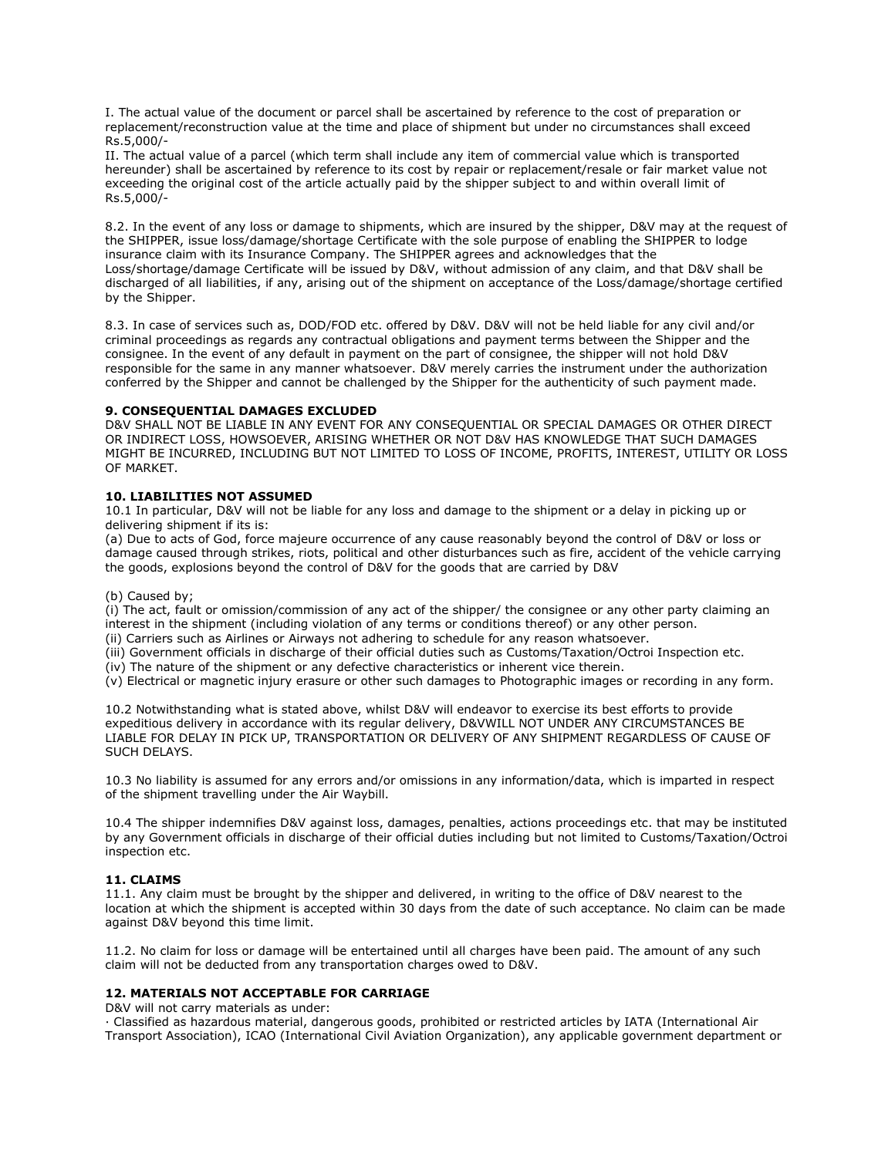I. The actual value of the document or parcel shall be ascertained by reference to the cost of preparation or replacement/reconstruction value at the time and place of shipment but under no circumstances shall exceed Rs.5,000/-

II. The actual value of a parcel (which term shall include any item of commercial value which is transported hereunder) shall be ascertained by reference to its cost by repair or replacement/resale or fair market value not exceeding the original cost of the article actually paid by the shipper subject to and within overall limit of Rs.5,000/-

8.2. In the event of any loss or damage to shipments, which are insured by the shipper, D&V may at the request of the SHIPPER, issue loss/damage/shortage Certificate with the sole purpose of enabling the SHIPPER to lodge insurance claim with its Insurance Company. The SHIPPER agrees and acknowledges that the Loss/shortage/damage Certificate will be issued by D&V, without admission of any claim, and that D&V shall be discharged of all liabilities, if any, arising out of the shipment on acceptance of the Loss/damage/shortage certified by the Shipper.

8.3. In case of services such as, DOD/FOD etc. offered by D&V. D&V will not be held liable for any civil and/or criminal proceedings as regards any contractual obligations and payment terms between the Shipper and the consignee. In the event of any default in payment on the part of consignee, the shipper will not hold D&V responsible for the same in any manner whatsoever. D&V merely carries the instrument under the authorization conferred by the Shipper and cannot be challenged by the Shipper for the authenticity of such payment made.

#### **9. CONSEQUENTIAL DAMAGES EXCLUDED**

D&V SHALL NOT BE LIABLE IN ANY EVENT FOR ANY CONSEQUENTIAL OR SPECIAL DAMAGES OR OTHER DIRECT OR INDIRECT LOSS, HOWSOEVER, ARISING WHETHER OR NOT D&V HAS KNOWLEDGE THAT SUCH DAMAGES MIGHT BE INCURRED, INCLUDING BUT NOT LIMITED TO LOSS OF INCOME, PROFITS, INTEREST, UTILITY OR LOSS OF MARKET.

#### **10. LIABILITIES NOT ASSUMED**

10.1 In particular, D&V will not be liable for any loss and damage to the shipment or a delay in picking up or delivering shipment if its is:

(a) Due to acts of God, force majeure occurrence of any cause reasonably beyond the control of D&V or loss or damage caused through strikes, riots, political and other disturbances such as fire, accident of the vehicle carrying the goods, explosions beyond the control of D&V for the goods that are carried by D&V

#### (b) Caused by;

(i) The act, fault or omission/commission of any act of the shipper/ the consignee or any other party claiming an interest in the shipment (including violation of any terms or conditions thereof) or any other person.

(ii) Carriers such as Airlines or Airways not adhering to schedule for any reason whatsoever.

(iii) Government officials in discharge of their official duties such as Customs/Taxation/Octroi Inspection etc.

(iv) The nature of the shipment or any defective characteristics or inherent vice therein.

(v) Electrical or magnetic injury erasure or other such damages to Photographic images or recording in any form.

10.2 Notwithstanding what is stated above, whilst D&V will endeavor to exercise its best efforts to provide expeditious delivery in accordance with its regular delivery, D&VWILL NOT UNDER ANY CIRCUMSTANCES BE LIABLE FOR DELAY IN PICK UP, TRANSPORTATION OR DELIVERY OF ANY SHIPMENT REGARDLESS OF CAUSE OF SUCH DELAYS.

10.3 No liability is assumed for any errors and/or omissions in any information/data, which is imparted in respect of the shipment travelling under the Air Waybill.

10.4 The shipper indemnifies D&V against loss, damages, penalties, actions proceedings etc. that may be instituted by any Government officials in discharge of their official duties including but not limited to Customs/Taxation/Octroi inspection etc.

# **11. CLAIMS**

11.1. Any claim must be brought by the shipper and delivered, in writing to the office of D&V nearest to the location at which the shipment is accepted within 30 days from the date of such acceptance. No claim can be made against D&V beyond this time limit.

11.2. No claim for loss or damage will be entertained until all charges have been paid. The amount of any such claim will not be deducted from any transportation charges owed to D&V.

#### **12. MATERIALS NOT ACCEPTABLE FOR CARRIAGE**

D&V will not carry materials as under:

· Classified as hazardous material, dangerous goods, prohibited or restricted articles by IATA (International Air Transport Association), ICAO (International Civil Aviation Organization), any applicable government department or